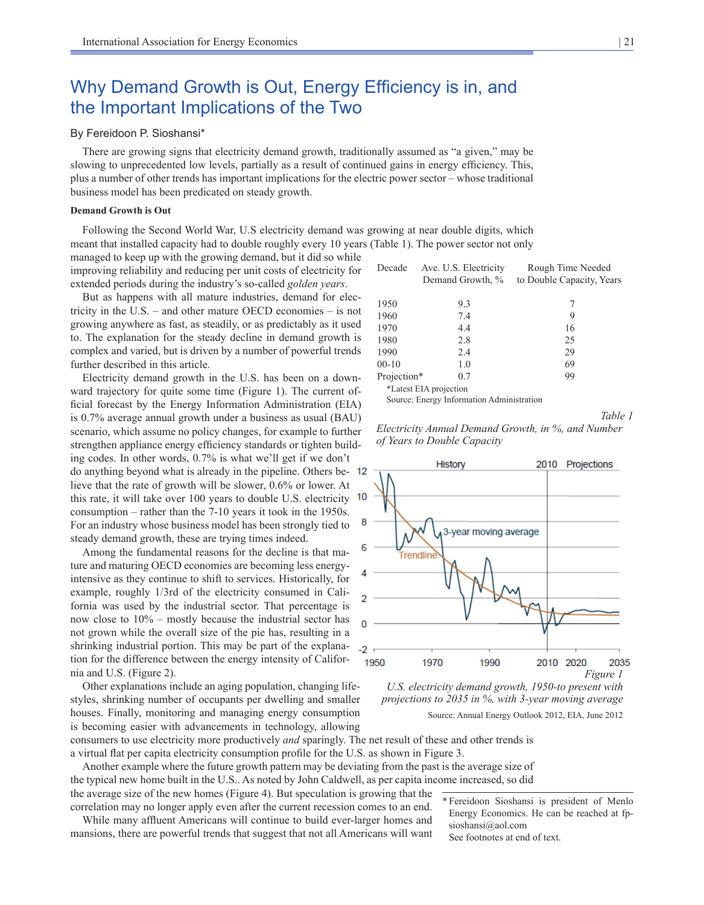# Why Demand Growth is Out, Energy Efficiency is in, and the Important Implications of the Two

# By Fereidoon P. Sioshansi\*

There are growing signs that electricity demand growth, traditionally assumed as "a given," may be slowing to unprecedented low levels, partially as a result of continued gains in energy efficiency. This, plus a number of other trends has important implications for the electric power sector – whose traditional business model has been predicated on steady growth.

## **Demand Growth is Out**

Following the Second World War, U.S electricity demand was growing at near double digits, which meant that installed capacity had to double roughly every 10 years (Table 1). The power sector not only

managed to keep up with the growing demand, but it did so while improving reliability and reducing per unit costs of electricity for extended periods during the industry's so-called *golden years*.

But as happens with all mature industries, demand for electricity in the U.S. – and other mature OECD economies – is not growing anywhere as fast, as steadily, or as predictably as it used to. The explanation for the steady decline in demand growth is complex and varied, but is driven by a number of powerful trends further described in this article.

Electricity demand growth in the U.S. has been on a downward trajectory for quite some time (Figure 1). The current official forecast by the Energy Information Administration (EIA) is 0.7% average annual growth under a business as usual (BAU) scenario, which assume no policy changes, for example to further strengthen appliance energy efficiency standards or tighten building codes. In other words, 0.7% is what we'll get if we don't do anything beyond what is already in the pipeline. Others believe that the rate of growth will be slower, 0.6% or lower. At this rate, it will take over 100 years to double U.S. electricity consumption – rather than the 7-10 years it took in the 1950s. For an industry whose business model has been strongly tied to steady demand growth, these are trying times indeed.

Among the fundamental reasons for the decline is that mature and maturing OECD economies are becoming less energyintensive as they continue to shift to services. Historically, for example, roughly 1/3rd of the electricity consumed in California was used by the industrial sector. That percentage is now close to 10% – mostly because the industrial sector has not grown while the overall size of the pie has, resulting in a shrinking industrial portion. This may be part of the explanation for the difference between the energy intensity of California and U.S. (Figure 2).

Other explanations include an aging population, changing lifestyles, shrinking number of occupants per dwelling and smaller houses. Finally, monitoring and managing energy consumption is becoming easier with advancements in technology, allowing

| Decade                 | Ave. U.S. Electricity<br>Demand Growth, % | Rough Time Needed<br>to Double Capacity, Years |  |  |  |  |
|------------------------|-------------------------------------------|------------------------------------------------|--|--|--|--|
| 1950                   | 93                                        | 7                                              |  |  |  |  |
| 1960                   | 7.4                                       | 9                                              |  |  |  |  |
| 1970                   | 4.4                                       | 16                                             |  |  |  |  |
| 1980                   | 2.8                                       | 25                                             |  |  |  |  |
| 1990                   | 2.4                                       | 29                                             |  |  |  |  |
| $00-10$                | 1.0                                       | 69                                             |  |  |  |  |
| Projection*            | 0.7                                       | 99                                             |  |  |  |  |
| *Latest EIA projection |                                           |                                                |  |  |  |  |

Source: Energy Information Administration

*Table 1* 





*U.S. electricity demand growth, 1950-to present with projections to 2035 in %, with 3-year moving average* Source: Annual Energy Outlook 2012, EIA, June 2012

consumers to use electricity more productively *and* sparingly. The net result of these and other trends is a virtual flat per capita electricity consumption profile for the U.S. as shown in Figure 3.

Another example where the future growth pattern may be deviating from the past is the average size of the typical new home built in the U.S.. As noted by John Caldwell, as per capita income increased, so did the average size of the new homes (Figure 4). But speculation is growing that the

correlation may no longer apply even after the current recession comes to an end. While many affluent Americans will continue to build ever-larger homes and mansions, there are powerful trends that suggest that not all Americans will want

\* Fereidoon Sioshansi is president of Menlo Energy Economics. He can be reached at fpsioshansi@aol.com

See footnotes at end of text.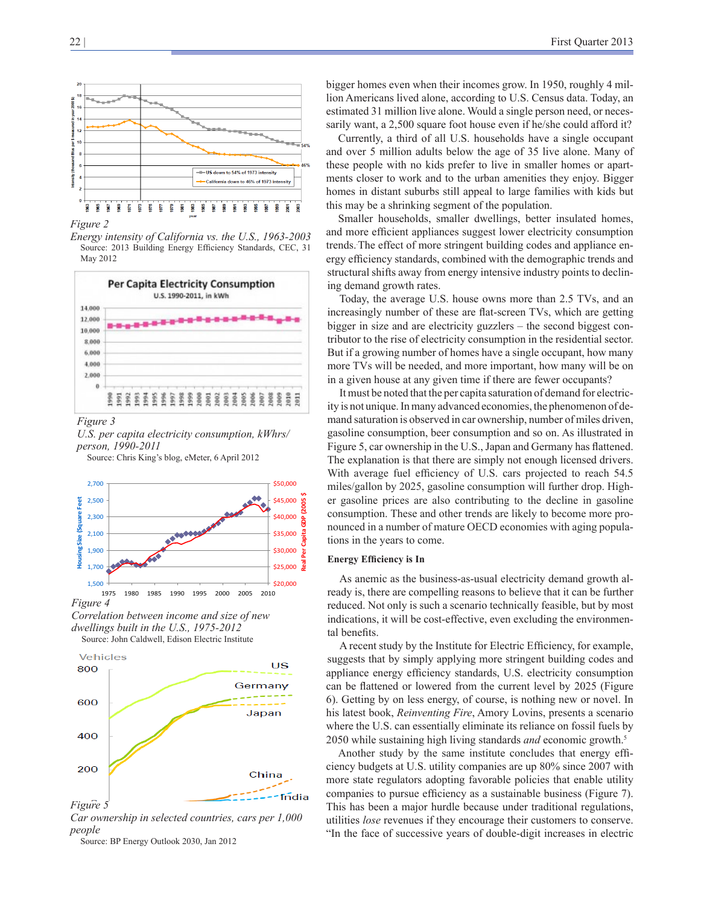

*Figure 2*

*Energy intensity of California vs. the U.S., 1963-2003*  Source: 2013 Building Energy Efficiency Standards, CEC, 31 May 2012



*Figure 3*



Source: Chris King's blog, eMeter, 6 April 2012







*Car ownership in selected countries, cars per 1,000 people*

Source: BP Energy Outlook 2030, Jan 2012

bigger homes even when their incomes grow. In 1950, roughly 4 million Americans lived alone, according to U.S. Census data. Today, an estimated 31 million live alone. Would a single person need, or necessarily want, a 2,500 square foot house even if he/she could afford it?

Currently, a third of all U.S. households have a single occupant and over 5 million adults below the age of 35 live alone. Many of these people with no kids prefer to live in smaller homes or apartments closer to work and to the urban amenities they enjoy. Bigger homes in distant suburbs still appeal to large families with kids but this may be a shrinking segment of the population.

Smaller households, smaller dwellings, better insulated homes, and more efficient appliances suggest lower electricity consumption trends. The effect of more stringent building codes and appliance energy efficiency standards, combined with the demographic trends and structural shifts away from energy intensive industry points to declining demand growth rates.

Today, the average U.S. house owns more than 2.5 TVs, and an increasingly number of these are flat-screen TVs, which are getting bigger in size and are electricity guzzlers – the second biggest contributor to the rise of electricity consumption in the residential sector. But if a growing number of homes have a single occupant, how many more TVs will be needed, and more important, how many will be on in a given house at any given time if there are fewer occupants?

It must be noted that the per capita saturation of demand for electricity is not unique. In many advanced economies, the phenomenon of demand saturation is observed in car ownership, number of miles driven, gasoline consumption, beer consumption and so on. As illustrated in Figure 5, car ownership in the U.S., Japan and Germany has flattened. The explanation is that there are simply not enough licensed drivers. With average fuel efficiency of U.S. cars projected to reach 54.5 miles/gallon by 2025, gasoline consumption will further drop. Higher gasoline prices are also contributing to the decline in gasoline consumption. These and other trends are likely to become more pronounced in a number of mature OECD economies with aging populations in the years to come.

#### **Energy Efficiency is In**

As anemic as the business-as-usual electricity demand growth already is, there are compelling reasons to believe that it can be further reduced. Not only is such a scenario technically feasible, but by most indications, it will be cost-effective, even excluding the environmental benefits.

A recent study by the Institute for Electric Efficiency, for example, suggests that by simply applying more stringent building codes and appliance energy efficiency standards, U.S. electricity consumption can be flattened or lowered from the current level by 2025 (Figure 6). Getting by on less energy, of course, is nothing new or novel. In his latest book, *Reinventing Fire*, Amory Lovins, presents a scenario where the U.S. can essentially eliminate its reliance on fossil fuels by 2050 while sustaining high living standards *and* economic growth.5

Another study by the same institute concludes that energy efficiency budgets at U.S. utility companies are up 80% since 2007 with more state regulators adopting favorable policies that enable utility companies to pursue efficiency as a sustainable business (Figure 7). This has been a major hurdle because under traditional regulations, utilities *lose* revenues if they encourage their customers to conserve. "In the face of successive years of double-digit increases in electric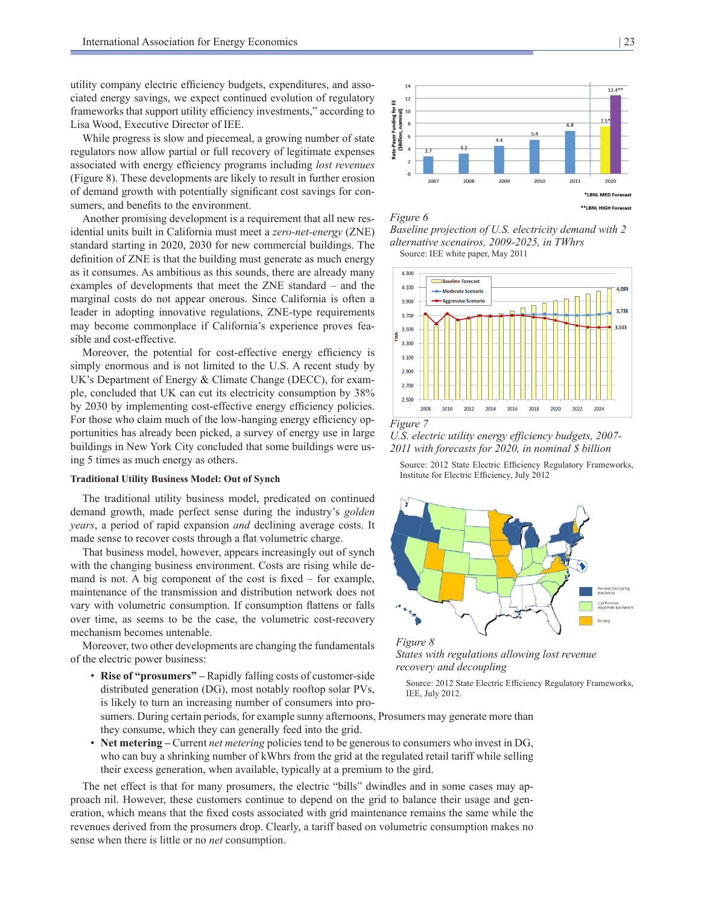utility company electric efficiency budgets, expenditures, and associated energy savings, we expect continued evolution of regulatory frameworks that support utility efficiency investments," according to Lisa Wood, Executive Director of IEE.

While progress is slow and piecemeal, a growing number of state regulators now allow partial or full recovery of legitimate expenses associated with energy efficiency programs including *lost revenues* (Figure 8). These developments are likely to result in further erosion of demand growth with potentially significant cost savings for consumers, and benefits to the environment.

Another promising development is a requirement that all new residential units built in California must meet a *zero-net-energy* (ZNE) standard starting in 2020, 2030 for new commercial buildings. The definition of ZNE is that the building must generate as much energy as it consumes. As ambitious as this sounds, there are already many examples of developments that meet the ZNE standard – and the marginal costs do not appear onerous. Since California is often a leader in adopting innovative regulations, ZNE-type requirements may become commonplace if California's experience proves feasible and cost-effective.

Moreover, the potential for cost-effective energy efficiency is simply enormous and is not limited to the U.S. A recent study by UK's Department of Energy & Climate Change (DECC), for example, concluded that UK can cut its electricity consumption by 38% by 2030 by implementing cost-effective energy efficiency policies. For those who claim much of the low-hanging energy efficiency opportunities has already been picked, a survey of energy use in large buildings in New York City concluded that some buildings were using 5 times as much energy as others.

#### **Traditional Utility Business Model: Out of Synch**

The traditional utility business model, predicated on continued demand growth, made perfect sense during the industry's *golden years*, a period of rapid expansion *and* declining average costs. It made sense to recover costs through a flat volumetric charge.

That business model, however, appears increasingly out of synch with the changing business environment. Costs are rising while demand is not. A big component of the cost is fixed – for example, maintenance of the transmission and distribution network does not vary with volumetric consumption. If consumption flattens or falls over time, as seems to be the case, the volumetric cost-recovery mechanism becomes untenable.

Moreover, two other developments are changing the fundamentals of the electric power business:

• **Rise of "prosumers" –** Rapidly falling costs of customer-side distributed generation (DG), most notably rooftop solar PVs, is likely to turn an increasing number of consumers into pro-



*Figure 6 Baseline projection of U.S. electricity demand with 2 alternative scenairos, 2009-2025, in TWhrs*

Source: IEE white paper, May 2011





*U.S. electric utility energy efficiency budgets, 2007- 2011 with forecasts for 2020, in nominal \$ billion*

Source: 2012 State Electric Efficiency Regulatory Frameworks, Institute for Electric Efficiency, July 2012



*States with regulations allowing lost revenue recovery and decoupling*

Source: 2012 State Electric Efficiency Regulatory Frameworks, IEE, July 2012.

sumers. During certain periods, for example sunny afternoons, Prosumers may generate more than they consume, which they can generally feed into the grid.

• **Net metering –** Current *net metering* policies tend to be generous to consumers who invest in DG, who can buy a shrinking number of kWhrs from the grid at the regulated retail tariff while selling their excess generation, when available, typically at a premium to the gird.

The net effect is that for many prosumers, the electric "bills" dwindles and in some cases may approach nil. However, these customers continue to depend on the grid to balance their usage and generation, which means that the fixed costs associated with grid maintenance remains the same while the revenues derived from the prosumers drop. Clearly, a tariff based on volumetric consumption makes no sense when there is little or no *net* consumption.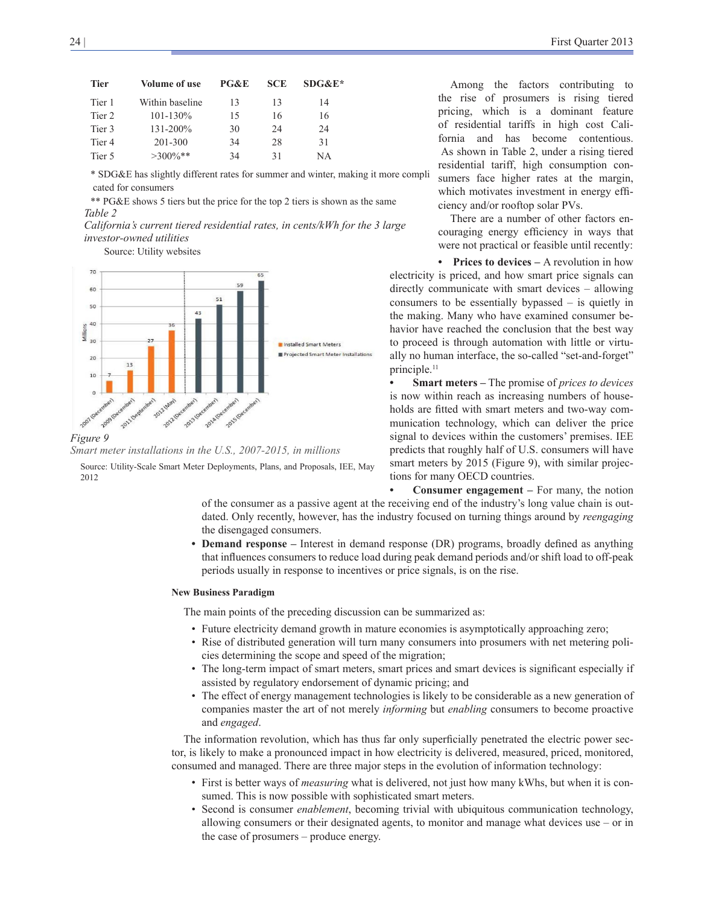| <b>Tier</b>       | Volume of use   | PG&E | <b>SCE</b> | $SDG&E*$ |  |
|-------------------|-----------------|------|------------|----------|--|
| Tier 1            | Within baseline | 13   | 13         | 14       |  |
| Tier 2            | $101 - 130\%$   | 15   | 16         | 16       |  |
| Tier 3            | $131 - 200\%$   | 30   | 24         | 24       |  |
| Tier <sub>4</sub> | 201-300         | 34   | 28         | 31       |  |
| Tier 5            | $>300\%**$      | 34   | 31         | NΑ       |  |

\* SDG&E has slightly different rates for summer and winter, making it more compli cated for consumers

\*\* PG&E shows 5 tiers but the price for the top 2 tiers is shown as the same *Table 2*

*California's current tiered residential rates, in cents/kWh for the 3 large investor-owned utilities*

Source: Utility websites





Source: Utility-Scale Smart Meter Deployments, Plans, and Proposals, IEE, May 2012

Among the factors contributing to the rise of prosumers is rising tiered pricing, which is a dominant feature of residential tariffs in high cost California and has become contentious. As shown in Table 2, under a rising tiered residential tariff, high consumption consumers face higher rates at the margin, which motivates investment in energy efficiency and/or rooftop solar PVs.

There are a number of other factors encouraging energy efficiency in ways that were not practical or feasible until recently:

**• Prices to devices –** A revolution in how electricity is priced, and how smart price signals can directly communicate with smart devices – allowing consumers to be essentially bypassed – is quietly in the making. Many who have examined consumer behavior have reached the conclusion that the best way to proceed is through automation with little or virtually no human interface, the so-called "set-and-forget" principle.<sup>11</sup>

**• Smart meters –** The promise of *prices to devices* is now within reach as increasing numbers of households are fitted with smart meters and two-way communication technology, which can deliver the price signal to devices within the customers' premises. IEE predicts that roughly half of U.S. consumers will have smart meters by 2015 (Figure 9), with similar projections for many OECD countries.

**• Consumer engagement –** For many, the notion

of the consumer as a passive agent at the receiving end of the industry's long value chain is outdated. Only recently, however, has the industry focused on turning things around by *reengaging* the disengaged consumers.

**• Demand response –** Interest in demand response (DR) programs, broadly defined as anything that influences consumers to reduce load during peak demand periods and/or shift load to off-peak periods usually in response to incentives or price signals, is on the rise.

### **New Business Paradigm**

The main points of the preceding discussion can be summarized as:

- Future electricity demand growth in mature economies is asymptotically approaching zero;
- Rise of distributed generation will turn many consumers into prosumers with net metering policies determining the scope and speed of the migration;
- The long-term impact of smart meters, smart prices and smart devices is significant especially if assisted by regulatory endorsement of dynamic pricing; and
- The effect of energy management technologies is likely to be considerable as a new generation of companies master the art of not merely *informing* but *enabling* consumers to become proactive and *engaged*.

The information revolution, which has thus far only superficially penetrated the electric power sector, is likely to make a pronounced impact in how electricity is delivered, measured, priced, monitored, consumed and managed. There are three major steps in the evolution of information technology:

- First is better ways of *measuring* what is delivered, not just how many kWhs, but when it is consumed. This is now possible with sophisticated smart meters.
- Second is consumer *enablement*, becoming trivial with ubiquitous communication technology, allowing consumers or their designated agents, to monitor and manage what devices use – or in the case of prosumers – produce energy.